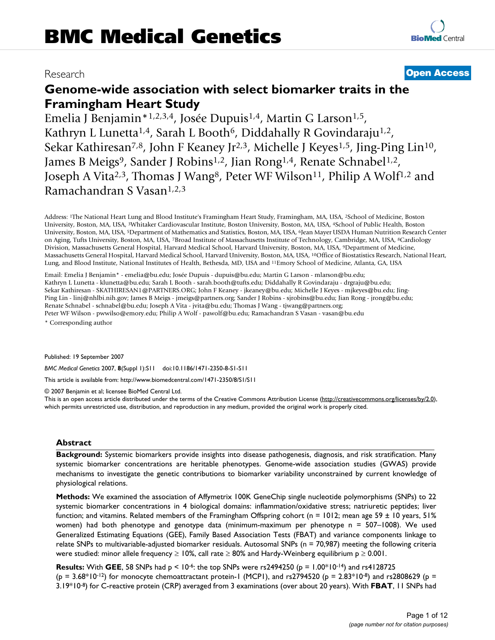# Research **[Open Access](http://www.biomedcentral.com/info/about/charter/)**

**[BioMed](http://www.biomedcentral.com/)** Central

# **Genome-wide association with select biomarker traits in the Framingham Heart Study**

Emelia J Benjamin\*<sup>1,2,3,4</sup>, Josée Dupuis<sup>1,4</sup>, Martin G Larson<sup>1,5</sup>, Kathryn L Lunetta<sup>1,4</sup>, Sarah L Booth<sup>6</sup>, Diddahally R Govindaraju<sup>1,2</sup>, Sekar Kathiresan<sup>7,8</sup>, John F Keaney Jr<sup>2,3</sup>, Michelle J Keyes<sup>1,5</sup>, Jing-Ping Lin<sup>10</sup>, James B Meigs<sup>9</sup>, Sander J Robins<sup>1,2</sup>, Jian Rong<sup>1,4</sup>, Renate Schnabel<sup>1,2</sup>, Joseph A Vita<sup>2,3</sup>, Thomas J Wang<sup>8</sup>, Peter WF Wilson<sup>11</sup>, Philip A Wolf<sup>1,2</sup> and Ramachandran S Vasan1,2,3

Address: 1The National Heart Lung and Blood Institute's Framingham Heart Study, Framingham, MA, USA, 2School of Medicine, Boston University, Boston, MA, USA, 3Whitaker Cardiovascular Institute, Boston University, Boston, MA, USA, 4School of Public Health, Boston University, Boston, MA, USA, 5Department of Mathematics and Statistics, Boston, MA, USA, 6Jean Mayer USDA Human Nutrition Research Center on Aging, Tufts University, Boston, MA, USA, 7Broad Institute of Massachusetts Institute of Technology, Cambridge, MA, USA, 8Cardiology Division, Massachusetts General Hospital, Harvard Medical School, Harvard University, Boston, MA, USA, 9Department of Medicine, Massachusetts General Hospital, Harvard Medical School, Harvard University, Boston, MA, USA, 10Office of Biostatistics Research, National Heart, Lung, and Blood Institute, National Institutes of Health, Bethesda, MD, USA and 11Emory School of Medicine, Atlanta, GA, USA

Email: Emelia J Benjamin\* - emelia@bu.edu; Josée Dupuis - dupuis@bu.edu; Martin G Larson - mlarson@bu.edu; Kathryn L Lunetta - klunetta@bu.edu; Sarah L Booth - sarah.booth@tufts.edu; Diddahally R Govindaraju - drgraju@bu.edu; Sekar Kathiresan - SKATHIRESAN1@PARTNERS.ORG; John F Keaney - jkeaney@bu.edu; Michelle J Keyes - mjkeyes@bu.edu; Jing-Ping Lin - linj@nhlbi.nih.gov; James B Meigs - jmeigs@partners.org; Sander J Robins - sjrobins@bu.edu; Jian Rong - jrong@bu.edu; Renate Schnabel - schnabel@bu.edu; Joseph A Vita - jvita@bu.edu; Thomas J Wang - tjwang@partners.org; Peter WF Wilson - pwwilso@emory.edu; Philip A Wolf - pawolf@bu.edu; Ramachandran S Vasan - vasan@bu.edu

\* Corresponding author

Published: 19 September 2007

*BMC Medical Genetics* 2007, **8**(Suppl 1):S11 doi:10.1186/1471-2350-8-S1-S11

[This article is available from: http://www.biomedcentral.com/1471-2350/8/S1/S11](http://www.biomedcentral.com/1471-2350/8/S1/S11)

© 2007 Benjamin et al; licensee BioMed Central Ltd.

This is an open access article distributed under the terms of the Creative Commons Attribution License [\(http://creativecommons.org/licenses/by/2.0\)](http://creativecommons.org/licenses/by/2.0), which permits unrestricted use, distribution, and reproduction in any medium, provided the original work is properly cited.

# **Abstract**

**Background:** Systemic biomarkers provide insights into disease pathogenesis, diagnosis, and risk stratification. Many systemic biomarker concentrations are heritable phenotypes. Genome-wide association studies (GWAS) provide mechanisms to investigate the genetic contributions to biomarker variability unconstrained by current knowledge of physiological relations.

**Methods:** We examined the association of Affymetrix 100K GeneChip single nucleotide polymorphisms (SNPs) to 22 systemic biomarker concentrations in 4 biological domains: inflammation/oxidative stress; natriuretic peptides; liver function; and vitamins. Related members of the Framingham Offspring cohort (n = 1012; mean age 59  $\pm$  10 years, 51% women) had both phenotype and genotype data (minimum-maximum per phenotype n = 507–1008). We used Generalized Estimating Equations (GEE), Family Based Association Tests (FBAT) and variance components linkage to relate SNPs to multivariable-adjusted biomarker residuals. Autosomal SNPs (n = 70,987) meeting the following criteria were studied: minor allele frequency ≥ 10%, call rate ≥ 80% and Hardy-Weinberg equilibrium p ≥ 0.001.

**Results:** With **GEE**, 58 SNPs had p < 10-6: the top SNPs were rs2494250 (p = 1.00\*10-14) and rs4128725 (p =  $3.68*10^{-12}$ ) for monocyte chemoattractant protein-1 (MCP1), and rs2794520 (p =  $2.83*10^{-8}$ ) and rs2808629 (p = 3.19\*10-8) for C-reactive protein (CRP) averaged from 3 examinations (over about 20 years). With **FBAT**, 11 SNPs had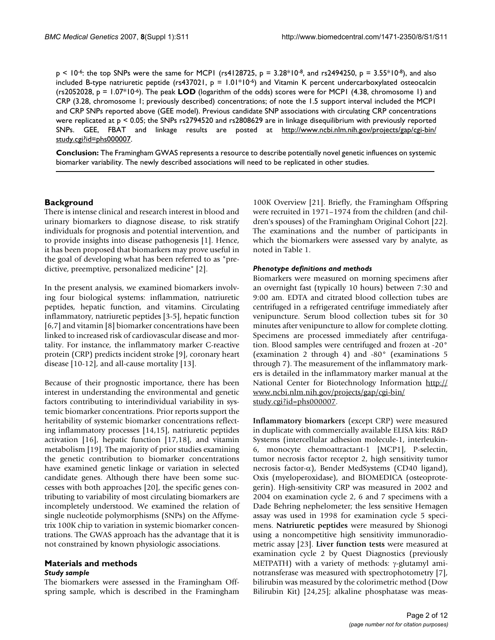$p < 10^{-6}$ : the top SNPs were the same for MCP1 (rs4128725,  $p = 3.28*10^{-8}$ , and rs2494250,  $p = 3.55*10^{-8}$ ), and also included B-type natriuretic peptide (rs437021,  $p = 1.01*10-6$ ) and Vitamin K percent undercarboxylated osteocalcin (rs2052028, p = 1.07\*10-6). The peak **LOD** (logarithm of the odds) scores were for MCP1 (4.38, chromosome 1) and CRP (3.28, chromosome 1; previously described) concentrations; of note the 1.5 support interval included the MCP1 and CRP SNPs reported above (GEE model). Previous candidate SNP associations with circulating CRP concentrations were replicated at p < 0.05; the SNPs rs2794520 and rs2808629 are in linkage disequilibrium with previously reported SNPs. GEE, FBAT and linkage results are posted at [http://www.ncbi.nlm.nih.gov/projects/gap/cgi-bin/](http://www.ncbi.nlm.nih.gov/projects/gap/cgi-bin/study.cgi?id=phs000007) [study.cgi?id=phs000007.](http://www.ncbi.nlm.nih.gov/projects/gap/cgi-bin/study.cgi?id=phs000007)

**Conclusion:** The Framingham GWAS represents a resource to describe potentially novel genetic influences on systemic biomarker variability. The newly described associations will need to be replicated in other studies.

# **Background**

There is intense clinical and research interest in blood and urinary biomarkers to diagnose disease, to risk stratify individuals for prognosis and potential intervention, and to provide insights into disease pathogenesis [1]. Hence, it has been proposed that biomarkers may prove useful in the goal of developing what has been referred to as "predictive, preemptive, personalized medicine" [2].

In the present analysis, we examined biomarkers involving four biological systems: inflammation, natriuretic peptides, hepatic function, and vitamins. Circulating inflammatory, natriuretic peptides [3-5], hepatic function [6,7] and vitamin [8] biomarker concentrations have been linked to increased risk of cardiovascular disease and mortality. For instance, the inflammatory marker C-reactive protein (CRP) predicts incident stroke [9], coronary heart disease [10-12], and all-cause mortality [13].

Because of their prognostic importance, there has been interest in understanding the environmental and genetic factors contributing to interindividual variability in systemic biomarker concentrations. Prior reports support the heritability of systemic biomarker concentrations reflecting inflammatory processes [14,15], natriuretic peptides activation [16], hepatic function [17,18], and vitamin metabolism [19]. The majority of prior studies examining the genetic contribution to biomarker concentrations have examined genetic linkage or variation in selected candidate genes. Although there have been some successes with both approaches [20], the specific genes contributing to variability of most circulating biomarkers are incompletely understood. We examined the relation of single nucleotide polymorphisms (SNPs) on the Affymetrix 100K chip to variation in systemic biomarker concentrations. The GWAS approach has the advantage that it is not constrained by known physiologic associations.

## **Materials and methods** *Study sample*

The biomarkers were assessed in the Framingham Offspring sample, which is described in the Framingham

100K Overview [21]. Briefly, the Framingham Offspring were recruited in 1971–1974 from the children (and children's spouses) of the Framingham Original Cohort [22]. The examinations and the number of participants in which the biomarkers were assessed vary by analyte, as noted in Table 1.

# *Phenotype definitions and methods*

Biomarkers were measured on morning specimens after an overnight fast (typically 10 hours) between 7:30 and 9:00 am. EDTA and citrated blood collection tubes are centrifuged in a refrigerated centrifuge immediately after venipuncture. Serum blood collection tubes sit for 30 minutes after venipuncture to allow for complete clotting. Specimens are processed immediately after centrifugation. Blood samples were centrifuged and frozen at -20° (examination 2 through 4) and -80° (examinations 5 through 7). The measurement of the inflammatory markers is detailed in the inflammatory marker manual at the National Center for Biotechnology Information [http://](http://www.ncbi.nlm.nih.gov/projects/gap/cgi-bin/study.cgi?id=phs000007) [www.ncbi.nlm.nih.gov/projects/gap/cgi-bin/](http://www.ncbi.nlm.nih.gov/projects/gap/cgi-bin/study.cgi?id=phs000007) [study.cgi?id=phs000007](http://www.ncbi.nlm.nih.gov/projects/gap/cgi-bin/study.cgi?id=phs000007).

**Inflammatory biomarkers** (except CRP) were measured in duplicate with commercially available ELISA kits: R&D Systems (intercellular adhesion molecule-1, interleukin-6, monocyte chemoattractant-1 [MCP1], P-selectin, tumor necrosis factor receptor 2, high sensitivity tumor necrosis factor-α), Bender MedSystems (CD40 ligand), Oxis (myeloperoxidase), and BIOMEDICA (osteoprotegerin). High-sensitivity CRP was measured in 2002 and 2004 on examination cycle 2, 6 and 7 specimens with a Dade Behring nephelometer; the less sensitive Hemagen assay was used in 1998 for examination cycle 5 specimens. **Natriuretic peptides** were measured by Shionogi using a noncompetitive high sensitivity immunoradiometric assay [23]. **Liver function tests** were measured at examination cycle 2 by Quest Diagnostics (previously METPATH) with a variety of methods: γ-glutamyl aminotransferase was measured with spectrophotometry [7], bilirubin was measured by the colorimetric method (Dow Bilirubin Kit) [24,25]; alkaline phosphatase was meas-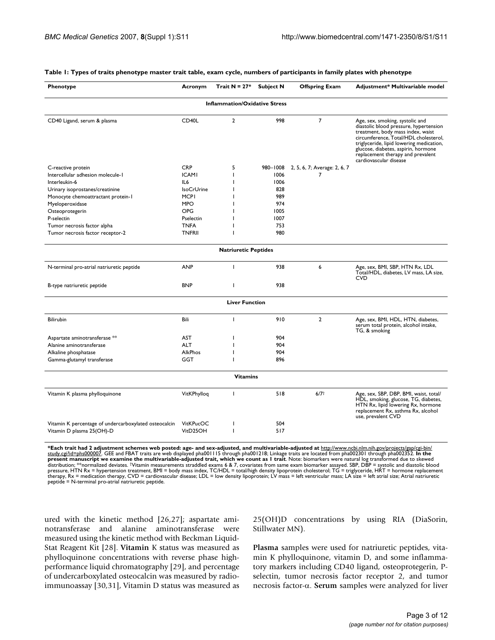| Phenotype                                             | Acronym            | Trait $N = 27$ *      | <b>Subject N</b> | <b>Offspring Exam</b>        | Adjustment* Multivariable model                                                                                                                                                                                                                                                                           |  |  |  |  |  |  |
|-------------------------------------------------------|--------------------|-----------------------|------------------|------------------------------|-----------------------------------------------------------------------------------------------------------------------------------------------------------------------------------------------------------------------------------------------------------------------------------------------------------|--|--|--|--|--|--|
| <b>Inflammation/Oxidative Stress</b>                  |                    |                       |                  |                              |                                                                                                                                                                                                                                                                                                           |  |  |  |  |  |  |
| CD40 Ligand, serum & plasma                           | CD <sub>40</sub> L | $\overline{2}$        | 998              | $\overline{7}$               | Age, sex, smoking, systolic and<br>diastolic blood pressure, hypertension<br>treatment, body mass index, waist<br>circumference, Total/HDL cholesterol,<br>triglyceride, lipid lowering medication,<br>glucose, diabetes, aspirin, hormone<br>replacement therapy and prevalent<br>cardiovascular disease |  |  |  |  |  |  |
| C-reactive protein                                    | <b>CRP</b>         | 5                     | 980-1008         | 2, 5, 6, 7; Average: 2, 6, 7 |                                                                                                                                                                                                                                                                                                           |  |  |  |  |  |  |
| Intercellular adhesion molecule-1                     | <b>ICAMI</b>       | ı                     | 1006             | 7                            |                                                                                                                                                                                                                                                                                                           |  |  |  |  |  |  |
| Interleukin-6                                         | IL6                |                       | 1006             |                              |                                                                                                                                                                                                                                                                                                           |  |  |  |  |  |  |
| Urinary isoprostanes/creatinine                       | <b>IsoCrUrine</b>  |                       | 828              |                              |                                                                                                                                                                                                                                                                                                           |  |  |  |  |  |  |
| Monocyte chemoattractant protein-1                    | <b>MCPI</b>        |                       | 989              |                              |                                                                                                                                                                                                                                                                                                           |  |  |  |  |  |  |
| Myeloperoxidase                                       | <b>MPO</b>         |                       | 974              |                              |                                                                                                                                                                                                                                                                                                           |  |  |  |  |  |  |
| Osteoprotegerin                                       | OPG                |                       | 1005             |                              |                                                                                                                                                                                                                                                                                                           |  |  |  |  |  |  |
| P-selectin                                            | Pselectin          |                       | 1007             |                              |                                                                                                                                                                                                                                                                                                           |  |  |  |  |  |  |
| Tumor necrosis factor alpha                           | <b>TNFA</b>        |                       | 753              |                              |                                                                                                                                                                                                                                                                                                           |  |  |  |  |  |  |
| Tumor necrosis factor receptor-2                      | <b>TNFRII</b>      |                       | 980              |                              |                                                                                                                                                                                                                                                                                                           |  |  |  |  |  |  |
| <b>Natriuretic Peptides</b>                           |                    |                       |                  |                              |                                                                                                                                                                                                                                                                                                           |  |  |  |  |  |  |
| N-terminal pro-atrial natriuretic peptide             | <b>ANP</b>         | I.                    | 938              | 6                            | Age, sex, BMI, SBP, HTN Rx, LDL<br>Total/HDL, diabetes, LV mass, LA size,<br>CVD                                                                                                                                                                                                                          |  |  |  |  |  |  |
| B-type natriuretic peptide                            | <b>BNP</b>         | T                     | 938              |                              |                                                                                                                                                                                                                                                                                                           |  |  |  |  |  |  |
|                                                       |                    | <b>Liver Function</b> |                  |                              |                                                                                                                                                                                                                                                                                                           |  |  |  |  |  |  |
| <b>Bilirubin</b>                                      | Bili               | T                     | 910              | $\overline{2}$               | Age, sex, BMI, HDL, HTN, diabetes,<br>serum total protein, alcohol intake,<br>TG, & smoking                                                                                                                                                                                                               |  |  |  |  |  |  |
| Aspartate aminotransferase **                         | <b>AST</b>         |                       | 904              |                              |                                                                                                                                                                                                                                                                                                           |  |  |  |  |  |  |
| Alanine aminotransferase                              | <b>ALT</b>         |                       | 904              |                              |                                                                                                                                                                                                                                                                                                           |  |  |  |  |  |  |
| Alkaline phosphatase                                  | <b>AlkPhos</b>     |                       | 904              |                              |                                                                                                                                                                                                                                                                                                           |  |  |  |  |  |  |
| Gamma-glutamyl transferase                            | <b>GGT</b>         |                       | 896              |                              |                                                                                                                                                                                                                                                                                                           |  |  |  |  |  |  |
|                                                       |                    | <b>Vitamins</b>       |                  |                              |                                                                                                                                                                                                                                                                                                           |  |  |  |  |  |  |
| Vitamin K plasma phylloquinone                        | VitKPhylloq        | L                     | 518              | $6/7^{+}$                    | Age, sex, SBP, DBP, BMI, waist, total/<br>HDL, smoking, glucose, TG, diabetes,<br>HTN Rx, lipid lowering Rx, hormone<br>replacement Rx, asthma Rx, alcohol<br>use, prevalent CVD                                                                                                                          |  |  |  |  |  |  |
| Vitamin K percentage of undercarboxylated osteocalcin | VitKPucOC          | ı                     | 504              |                              |                                                                                                                                                                                                                                                                                                           |  |  |  |  |  |  |
| Vitamin D plasma 25(OH)-D                             | VitD25OH           | L                     | 517              |                              |                                                                                                                                                                                                                                                                                                           |  |  |  |  |  |  |
|                                                       |                    |                       |                  |                              |                                                                                                                                                                                                                                                                                                           |  |  |  |  |  |  |

#### **Table 1: Types of traits phenotype master trait table, exam cycle, numbers of participants in family plates with phenotype**

**\*Each trait had 2 adjustment schemes web posted: age- and sex-adjusted, and multivariable-adjusted at** [http://www.ncbi.nlm.nih.gov/projects/gap/cgi-bin/](http://www.ncbi.nlm.nih.gov/projects/gap/cgi-bin/study.cgi?id=phs000007) [study.cgi?id=phs000007.](http://www.ncbi.nlm.nih.gov/projects/gap/cgi-bin/study.cgi?id=phs000007) GEE and FBAT traits are web displayed pha001115 through pha001218; Linkage traits are located from pha002301 through pha002352. **In the**  present manuscript we examine the multivariable-adjusted trait, which we count as 1 trait. Note: biomarkers were natural log transformed due to skewed<br>distribution; \*\*normalized deviates. †Vitamin measurements straddled ex

ured with the kinetic method [26,27]; aspartate aminotransferase and alanine aminotransferase were measured using the kinetic method with Beckman Liquid-Stat Reagent Kit [28]. **Vitamin** K status was measured as phylloquinone concentrations with reverse phase highperformance liquid chromatography [29], and percentage of undercarboxylated osteocalcin was measured by radioimmunoassay [30,31], Vitamin D status was measured as 25(OH)D concentrations by using RIA (DiaSorin, Stillwater MN).

**Plasma** samples were used for natriuretic peptides, vitamin K phylloquinone, vitamin D, and some inflammatory markers including CD40 ligand, osteoprotegerin, Pselectin, tumor necrosis factor receptor 2, and tumor necrosis factor-α. **Serum** samples were analyzed for liver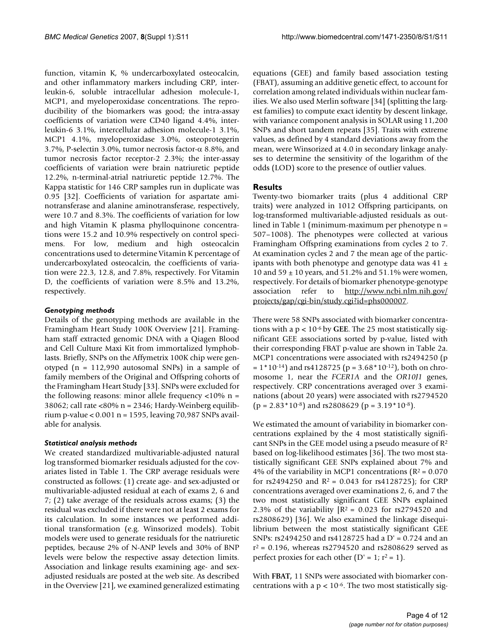function, vitamin K, % undercarboxylated osteocalcin, and other inflammatory markers including CRP, interleukin-6, soluble intracellular adhesion molecule-1, MCP1, and myeloperoxidase concentrations. The reproducibility of the biomarkers was good; the intra-assay coefficients of variation were CD40 ligand 4.4%, interleukin-6 3.1%, intercellular adhesion molecule-1 3.1%, MCP1 4.1%, myeloperoxidase 3.0%, osteoprotegerin 3.7%, P-selectin 3.0%, tumor necrosis factor-α 8.8%, and tumor necrosis factor receptor-2 2.3%; the inter-assay coefficients of variation were brain natriuretic peptide 12.2%, n-terminal-atrial natriuretic peptide 12.7%. The Kappa statistic for 146 CRP samples run in duplicate was 0.95 [32]. Coefficients of variation for aspartate aminotransferase and alanine aminotransferase, respectively, were 10.7 and 8.3%. The coefficients of variation for low and high Vitamin K plasma phylloquinone concentrations were 15.2 and 10.9% respectively on control specimens. For low, medium and high osteocalcin concentrations used to determine Vitamin K percentage of undercarboxylated osteocalcin, the coefficients of variation were 22.3, 12.8, and 7.8%, respectively. For Vitamin D, the coefficients of variation were 8.5% and 13.2%, respectively.

# *Genotyping methods*

Details of the genotyping methods are available in the Framingham Heart Study 100K Overview [21]. Framingham staff extracted genomic DNA with a Qiagen Blood and Cell Culture Maxi Kit from immortalized lymphoblasts. Briefly, SNPs on the Affymetrix 100K chip were genotyped (n = 112,990 autosomal SNPs) in a sample of family members of the Original and Offspring cohorts of the Framingham Heart Study [33]. SNPs were excluded for the following reasons: minor allele frequency  $\langle 10\% \rangle$  n = 38062; call rate <80% n = 2346; Hardy-Weinberg equilibrium p-value < 0.001 n = 1595, leaving 70,987 SNPs available for analysis.

# *Statistical analysis methods*

We created standardized multivariable-adjusted natural log transformed biomarker residuals adjusted for the covariates listed in Table 1. The CRP average residuals were constructed as follows: (1) create age- and sex-adjusted or multivariable-adjusted residual at each of exams 2, 6 and 7; (2) take average of the residuals across exams; (3) the residual was excluded if there were not at least 2 exams for its calculation. In some instances we performed additional transformation (e.g. Winsorized models). Tobit models were used to generate residuals for the natriuretic peptides, because 2% of N-ANP levels and 30% of BNP levels were below the respective assay detection limits. Association and linkage results examining age- and sexadjusted residuals are posted at the web site. As described in the Overview [21], we examined generalized estimating equations (GEE) and family based association testing (FBAT), assuming an additive genetic effect, to account for correlation among related individuals within nuclear families. We also used Merlin software [34] (splitting the largest families) to compute exact identity by descent linkage, with variance component analysis in SOLAR using 11,200 SNPs and short tandem repeats [35]. Traits with extreme values, as defined by 4 standard deviations away from the mean, were Winsorized at 4.0 in secondary linkage analyses to determine the sensitivity of the logarithm of the odds (LOD) score to the presence of outlier values.

# **Results**

Twenty-two biomarker traits (plus 4 additional CRP traits) were analyzed in 1012 Offspring participants, on log-transformed multivariable-adjusted residuals as outlined in Table 1 (minimum-maximum per phenotype n = 507–1008). The phenotypes were collected at various Framingham Offspring examinations from cycles 2 to 7. At examination cycles 2 and 7 the mean age of the participants with both phenotype and genotype data was 41  $\pm$ 10 and 59  $\pm$  10 years, and 51.2% and 51.1% were women, respectively. For details of biomarker phenotype-genotype association refer to [http://www.ncbi.nlm.nih.gov/](http://www.ncbi.nlm.nih.gov/projects/gap/cgi-bin/study.cgi?id=phs000007) [projects/gap/cgi-bin/study.cgi?id=phs000007](http://www.ncbi.nlm.nih.gov/projects/gap/cgi-bin/study.cgi?id=phs000007).

There were 58 SNPs associated with biomarker concentrations with a p < 10-6 by **GEE**. The 25 most statistically significant GEE associations sorted by p-value, listed with their corresponding FBAT p-value are shown in Table 2a. MCP1 concentrations were associated with rs2494250 (p  $= 1*10^{-14}$ ) and rs4128725 (p = 3.68 $*10^{-12}$ ), both on chromosome 1, near the *FCER1A* and the *OR10J1* genes, respectively. CRP concentrations averaged over 3 examinations (about 20 years) were associated with rs2794520  $(p = 2.83 * 10^{-8})$  and rs2808629  $(p = 3.19 * 10^{-8})$ .

We estimated the amount of variability in biomarker concentrations explained by the 4 most statistically significant SNPs in the GEE model using a pseudo measure of R2 based on log-likelihood estimates [36]. The two most statistically significant GEE SNPs explained about 7% and 4% of the variability in MCP1 concentrations ( $R^2$  = 0.070 for rs2494250 and  $R^2 = 0.043$  for rs4128725); for CRP concentrations averaged over examinations 2, 6, and 7 the two most statistically significant GEE SNPs explained 2.3% of the variability  $[R^2 = 0.023$  for rs2794520 and rs2808629) [36]. We also examined the linkage disequilibrium between the most statistically significant GEE SNPs: rs2494250 and rs4128725 had a D' = 0.724 and an  $r^2$  = 0.196, whereas rs2794520 and rs2808629 served as perfect proxies for each other ( $D' = 1$ ;  $r^2 = 1$ ).

With **FBAT,** 11 SNPs were associated with biomarker concentrations with a  $p < 10^{-6}$ . The two most statistically sig-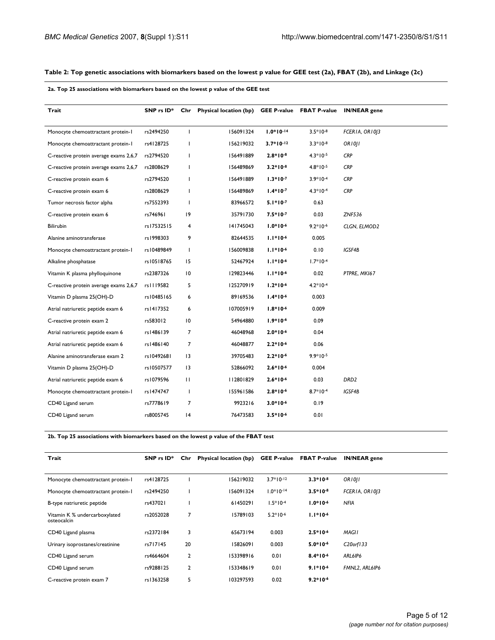### **Table 2: Top genetic associations with biomarkers based on the lowest p value for GEE test (2a), FBAT (2b), and Linkage (2c)**

**2a. Top 25 associations with biomarkers based on the lowest p value of the GEE test**

| Trait                                  | SNP rs ID* |                 | Chr Physical location (bp) |             | <b>GEE P-value FBAT P-value</b> | <b>IN/NEAR</b> gene |
|----------------------------------------|------------|-----------------|----------------------------|-------------|---------------------------------|---------------------|
| Monocyte chemoattractant protein-1     | rs2494250  | $\mathbf{I}$    | 156091324                  | $1.0*10-14$ | $3.5*10-8$                      | FCERIA, ORIOI3      |
| Monocyte chemoattractant protein-1     | rs4128725  |                 | 156219032                  | $3.7*10-12$ | $3.3*10-8$                      | <b>OR1011</b>       |
| C-reactive protein average exams 2,6,7 | rs2794520  | L               | 156491889                  | $2.8*10-8$  | $4.3*10-5$                      | <b>CRP</b>          |
| C-reactive protein average exams 2,6,7 | rs2808629  |                 | 156489869                  | $3.2*10-8$  | $4.8*10-5$                      | CRP                 |
| C-reactive protein exam 6              | rs2794520  | т               | 156491889                  | $1.3*10-7$  | $3.9*10-4$                      | CRP                 |
| C-reactive protein exam 6              | rs2808629  |                 | 156489869                  | $1.4*10-7$  | $4.3*10-4$                      | CRP                 |
| Tumor necrosis factor alpha            | rs7552393  |                 | 83966572                   | $5.1*10-7$  | 0.63                            |                     |
| C-reactive protein exam 6              | rs746961   | 9               | 35791730                   | $7.5*10-7$  | 0.03                            | <b>ZNF536</b>       |
| <b>Bilirubin</b>                       | rs17532515 | 4               | 141745043                  | $1.0*10-6$  | $9.2*10-6$                      | CLGN, ELMOD2        |
| Alanine aminotransferase               | rs1998303  | 9               | 82644535                   | $1.1*10-6$  | 0.005                           |                     |
| Monocyte chemoattractant protein-1     | rs10489849 | $\mathbf{I}$    | 156009838                  | $1.1*10-6$  | 0.10                            | IGSF4B              |
| Alkaline phosphatase                   | rs10518765 | 15              | 52467924                   | $1.1*10-6$  | $1.7*10-4$                      |                     |
| Vitamin K plasma phylloquinone         | rs2387326  | $\overline{10}$ | 129823446                  | $1.1*10-6$  | 0.02                            | PTPRE, MKI67        |
| C-reactive protein average exams 2,6,7 | rs1119582  | 5               | 125270919                  | $1.2*10-6$  | $4.2*10-4$                      |                     |
| Vitamin D plasma 25(OH)-D              | rs10485165 | 6               | 89169536                   | $1.4*10-6$  | 0.003                           |                     |
| Atrial natriuretic peptide exam 6      | rs1417352  | 6               | 107005919                  | $1.8*10-6$  | 0.009                           |                     |
| C-reactive protein exam 2              | rs583012   | 10              | 54964880                   | $1.9*10-6$  | 0.09                            |                     |
| Atrial natriuretic peptide exam 6      | rs1486139  | 7               | 46048968                   | $2.0*10-6$  | 0.04                            |                     |
| Atrial natriuretic peptide exam 6      | rs1486140  | $\overline{7}$  | 46048877                   | $2.2*10-6$  | 0.06                            |                     |
| Alanine aminotransferase exam 2        | rs10492681 | $\overline{13}$ | 39705483                   | $2.2*10-6$  | $9.9*10-5$                      |                     |
| Vitamin D plasma 25(OH)-D              | rs10507577 | 13              | 52866092                   | $2.6*10-6$  | 0.004                           |                     |
| Atrial natriuretic peptide exam 6      | rs1079596  | $\mathbf{H}$    | 112801829                  | $2.6*10-6$  | 0.03                            | DRD <sub>2</sub>    |
| Monocyte chemoattractant protein-I     | rs1474747  | L               | 155961586                  | $2.8*10-6$  | $8.7*10-4$                      | IGSF4B              |
| CD40 Ligand serum                      | rs7778619  | $\overline{7}$  | 9923216                    | $3.0*10-6$  | 0.19                            |                     |
| CD40 Ligand serum                      | rs8005745  | 14              | 76473583                   | $3.5*10-6$  | 0.01                            |                     |

**2b. Top 25 associations with biomarkers based on the lowest p value of the FBAT test**

| Trait                                        | SNP rs ID* | Chr          | Physical location (bp) |             | <b>GEE P-value FBAT P-value</b> | <b>IN/NEAR</b> gene    |
|----------------------------------------------|------------|--------------|------------------------|-------------|---------------------------------|------------------------|
|                                              |            |              |                        |             |                                 |                        |
| Monocyte chemoattractant protein-1           | rs4128725  |              | 156219032              | $3.7*10-12$ | $3.3*10-8$                      | ORIOII                 |
| Monocyte chemoattractant protein-1           | rs2494250  |              | 156091324              | $1.0*10-14$ | $3.5*10-8$                      | FCERIA, ORIOI3         |
| B-type natriuretic peptide                   | rs437021   |              | 61450291               | $1.5*10-4$  | $1.0*10-6$                      | <b>NFIA</b>            |
| Vitamin K % undercarboxylated<br>osteocalcin | rs2052028  | 7            | 15789103               | $5.2*10-6$  | $1.1*10-6$                      |                        |
| CD40 Ligand plasma                           | rs2372184  | 3            | 65673194               | 0.003       | $2.5*10-6$                      | <b>MAGII</b>           |
| Urinary isoprostanes/creatinine              | rs717145   | 20           | 15826091               | 0.003       | $5.0*10-6$                      | C <sub>20</sub> orf133 |
| CD40 Ligand serum                            | rs4664604  | $\mathbf{2}$ | 153398916              | 0.01        | $8.4*10-6$                      | ARL6IP6                |
| CD40 Ligand serum                            | rs9288125  | $\mathbf{2}$ | 153348619              | 0.01        | $9.1*10-6$                      | FMNL2, ARL6IP6         |
| C-reactive protein exam 7                    | rs1363258  | 5            | 103297593              | 0.02        | $9.2*10-6$                      |                        |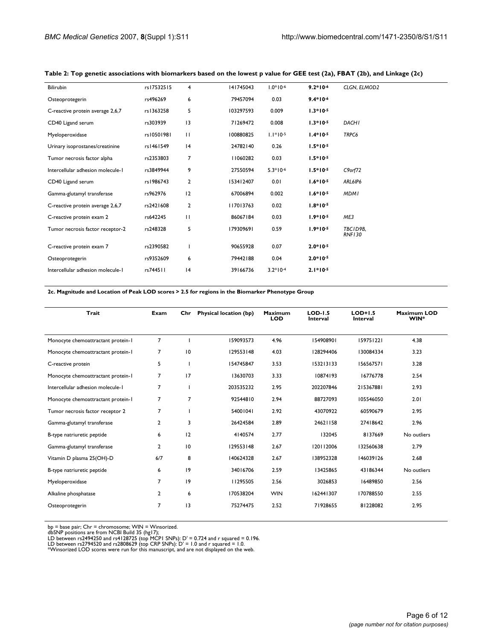| Bilirubin                         | rs17532515 | $\overline{4}$ | 141745043 | $1.0*10-6$ | $9.2*10-6$ | CLGN, ELMOD2              |
|-----------------------------------|------------|----------------|-----------|------------|------------|---------------------------|
| Osteoprotegerin                   | rs496269   | 6              | 79457094  | 0.03       | $9.4*10-6$ |                           |
| C-reactive protein average 2,6,7  | rs1363258  | 5              | 103297593 | 0.009      | $1.3*10-5$ |                           |
| CD40 Ligand serum                 | rs303939   | 3              | 71269472  | 0.008      | $1.3*10-5$ | <b>DACHI</b>              |
| Myeloperoxidase                   | rs10501981 | $\mathbf{H}$   | 100880825 | $1.1*10-5$ | $1.4*10-5$ | TRPC6                     |
| Urinary isoprostanes/creatinine   | rs1461549  | 4              | 24782140  | 0.26       | $1.5*10-5$ |                           |
| Tumor necrosis factor alpha       | rs2353803  | $\overline{7}$ | 11060282  | 0.03       | $1.5*10-5$ |                           |
| Intercellular adhesion molecule-1 | rs3849944  | 9              | 27550594  | $5.3*10-6$ | $1.5*10-5$ | $C9$ orf $72$             |
| CD40 Ligand serum                 | rs1986743  | $\overline{2}$ | 153412407 | 0.01       | $1.6*10-5$ | ARL6IP6                   |
| Gamma-glutamyl transferase        | rs962976   | 12             | 67006894  | 0.002      | $1.6*10-5$ | <b>MDMI</b>               |
| C-reactive protein average 2,6,7  | rs2421608  | $\overline{2}$ | 117013763 | 0.02       | $1.8*10-5$ |                           |
| C-reactive protein exam 2         | rs642245   | $\mathbf{H}$   | 86067184  | 0.03       | $1.9*10-5$ | ME3                       |
| Tumor necrosis factor receptor-2  | rs248328   | 5              | 179309691 | 0.59       | $1.9*10-5$ | TBCID9B,<br><b>RNF130</b> |
| C-reactive protein exam 7         | rs2390582  |                | 90655928  | 0.07       | $2.0*10-5$ |                           |
| Osteoprotegerin                   | rs9352609  | 6              | 79442188  | 0.04       | $2.0*10-5$ |                           |
| Intercellular adhesion molecule-1 | rs744511   | 4              | 39166736  | $3.2*10-4$ | $2.1*10-5$ |                           |
|                                   |            |                |           |            |            |                           |

### **Table 2: Top genetic associations with biomarkers based on the lowest p value for GEE test (2a), FBAT (2b), and Linkage (2c)**

**2c. Magnitude and Location of Peak LOD scores > 2.5 for regions in the Biomarker Phenotype Group**

| Trait                              | Exam           | Chr            | Physical location (bp) | <b>Maximum</b><br><b>LOD</b> | $LOD-1.5$<br><b>Interval</b> | $LOD+1.5$<br>Interval | <b>Maximum LOD</b><br>WIN* |
|------------------------------------|----------------|----------------|------------------------|------------------------------|------------------------------|-----------------------|----------------------------|
| Monocyte chemoattractant protein-1 | $\overline{7}$ |                | 159093573              | 4.96                         | 154908901                    | 159751221             | 4.38                       |
| Monocyte chemoattractant protein-1 | $\overline{7}$ | 10             | 129553148              | 4.03                         | 128294406                    | 130084334             | 3.23                       |
| C-reactive protein                 | 5              |                | 154745847              | 3.53                         | 153213133                    | 156567571             | 3.28                       |
| Monocyte chemoattractant protein-1 | $\overline{7}$ | 17             | 13630703               | 3.33                         | 10874193                     | 16776778              | 2.54                       |
| Intercellular adhesion molecule-1  | 7              |                | 203535232              | 2.95                         | 202207846                    | 215367881             | 2.93                       |
| Monocyte chemoattractant protein-1 | 7              | $\overline{7}$ | 92544810               | 2.94                         | 88727093                     | 105546050             | 2.01                       |
| Tumor necrosis factor receptor 2   | 7              |                | 54001041               | 2.92                         | 43070922                     | 60590679              | 2.95                       |
| Gamma-glutamyl transferase         | $\overline{2}$ | 3              | 26424584               | 2.89                         | 24621158                     | 27418642              | 2.96                       |
| B-type natriuretic peptide         | 6              | 12             | 4140574                | 2.77                         | 132045                       | 8137669               | No outliers                |
| Gamma-glutamyl transferase         | $\overline{2}$ | 10             | 129553148              | 2.67                         | 120112006                    | 132560638             | 2.79                       |
| Vitamin D plasma 25(OH)-D          | 6/7            | 8              | 140624328              | 2.67                         | 138952328                    | 146039126             | 2.68                       |
| B-type natriuretic peptide         | 6              | 9              | 34016706               | 2.59                         | 13425865                     | 43186344              | No outliers                |
| Myeloperoxidase                    | $\overline{7}$ | 9              | 11295505               | 2.56                         | 3026853                      | 16489850              | 2.56                       |
| Alkaline phosphatase               | 2              | 6              | 170538204              | <b>WIN</b>                   | 162441307                    | 170788550             | 2.55                       |
| Osteoprotegerin                    | $\overline{7}$ | 3              | 75274475               | 2.52                         | 71928655                     | 81228082              | 2.95                       |

bp = base pair; Chr = chromosome; WIN = Winsorized.<br>dbSNP positions are from NCBI Build 35 (hg17);<br>LD between rs2494250 and rs4128725 (top MCPI SNPs): D' = 0.724 and r squared = 0.196.<br>LD between rs2794520 and rs2808629 (t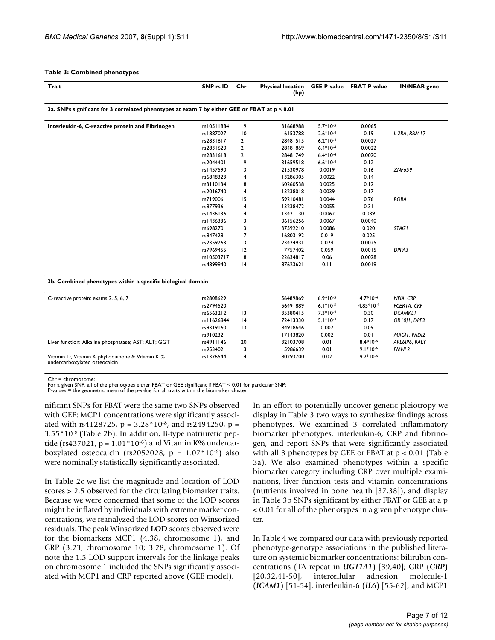#### **Table 3: Combined phenotypes**

| Trait                                                                                        | SNP rs ID  | Chr            | <b>Physical location</b><br>(bp) |            | <b>GEE P-value FBAT P-value</b> | <b>IN/NEAR</b> gene |  |  |  |  |
|----------------------------------------------------------------------------------------------|------------|----------------|----------------------------------|------------|---------------------------------|---------------------|--|--|--|--|
| 3a. SNPs significant for 3 correlated phenotypes at exam 7 by either GEE or FBAT at p < 0.01 |            |                |                                  |            |                                 |                     |  |  |  |  |
| Interleukin-6, C-reactive protein and Fibrinogen                                             | rs10511884 | 9              | 31668988                         | $5.7*10-5$ | 0.0065                          |                     |  |  |  |  |
|                                                                                              | rs1887027  | 10             | 6153788                          | $2.6*10-4$ | 0.19                            | IL2RA, RBM17        |  |  |  |  |
|                                                                                              | rs2831617  | 21             | 28481515                         | $6.2*10-4$ | 0.0027                          |                     |  |  |  |  |
|                                                                                              | rs2831620  | 21             | 28481869                         | $6.4*10-4$ | 0.0022                          |                     |  |  |  |  |
|                                                                                              | rs2831618  | 21             | 28481749                         | $6.4*10-4$ | 0.0020                          |                     |  |  |  |  |
|                                                                                              | rs2044401  | 9              | 31659518                         | $6.6*10-4$ | 0.12                            |                     |  |  |  |  |
|                                                                                              | rs1457590  | 3              | 21530978                         | 0.0019     | 0.16                            | <b>ZNF659</b>       |  |  |  |  |
|                                                                                              | rs6848323  | $\overline{4}$ | 113286305                        | 0.0022     | 0.14                            |                     |  |  |  |  |
|                                                                                              | rs3110134  | 8              | 60260538                         | 0.0025     | 0.12                            |                     |  |  |  |  |
|                                                                                              | rs2016740  | $\overline{4}$ | 113238018                        | 0.0039     | 0.17                            |                     |  |  |  |  |
|                                                                                              | rs719006   | 15             | 59210481                         | 0.0044     | 0.76                            | <b>RORA</b>         |  |  |  |  |
|                                                                                              | rs877936   | $\overline{4}$ | 113238472                        | 0.0055     | 0.31                            |                     |  |  |  |  |
|                                                                                              | rs1436136  | $\overline{4}$ | 113421130                        | 0.0062     | 0.039                           |                     |  |  |  |  |
|                                                                                              | rs1436336  | 3              | 106156256                        | 0.0067     | 0.0040                          |                     |  |  |  |  |
|                                                                                              | rs698270   | 3              | 137592210                        | 0.0086     | 0.020                           | <b>STAG1</b>        |  |  |  |  |
|                                                                                              | rs847428   | $\overline{7}$ | 16803192                         | 0.019      | 0.025                           |                     |  |  |  |  |
|                                                                                              | rs2359763  | 3              | 23424931                         | 0.024      | 0.0025                          |                     |  |  |  |  |
|                                                                                              | rs7969455  | 12             | 7757402                          | 0.059      | 0.0015                          | DPPA3               |  |  |  |  |
|                                                                                              | rs10503717 | 8              | 22634817                         | 0.06       | 0.0028                          |                     |  |  |  |  |
|                                                                                              | rs4899940  | 4              | 87623621                         | 0.11       | 0.0019                          |                     |  |  |  |  |
| 3b. Combined phenotypes within a specific biological domain                                  |            |                |                                  |            |                                 |                     |  |  |  |  |
| C-reactive protein: exams 2, 5, 6, 7                                                         | rs2808629  | т              | 156489869                        | $6.9*10-5$ | $4.7*10-4$                      | NFIA, CRP           |  |  |  |  |
|                                                                                              | rs2794520  |                | 156491889                        | $6.1*10-5$ | $4.85*10-4$                     | FCERIA, CRP         |  |  |  |  |
|                                                                                              | rs6563212  | 3              | 35380415                         | $7.3*10-4$ | 0.30                            | <b>DCAMKLI</b>      |  |  |  |  |
|                                                                                              | rs11626844 | 4              | 72413330                         | $5.1*10-3$ | 0.17                            | ORIOJI, DPF3        |  |  |  |  |
|                                                                                              | rs9319160  | 3              | 84918646                         | 0.002      | 0.09                            |                     |  |  |  |  |
|                                                                                              | rs910232   |                | 17143820                         | 0.002      | 0.01                            | MAGII, PADI2        |  |  |  |  |
| Liver function: Alkaline phosphatase; AST; ALT; GGT                                          | rs4911146  | 20             | 32103708                         | 0.01       | $8.4*10-6$                      | ARL6IP6, RALY       |  |  |  |  |
|                                                                                              | rs953402   | 3              | 5986639                          | 0.01       | $9.1*10-6$                      | FMNL <sub>2</sub>   |  |  |  |  |
| Vitamin D, Vitamin K phylloquinone & Vitamin K %<br>undercarboxylated osteocalcin            | rs1376544  | $\overline{4}$ | 180293700                        | 0.02       | $9.2*10-6$                      |                     |  |  |  |  |

 $Chr = chromosom$ 

For a given SNP, all of the phenotypes either FBAT or GEE significant if FBAT < 0.01 for particular SNP; P-values = the geometric mean of the p-value for all traits within the biomarker cluster

nificant SNPs for FBAT were the same two SNPs observed with GEE: MCP1 concentrations were significantly associated with rs4128725,  $p = 3.28 * 10^{8}$ , and rs2494250,  $p =$ 3.55\*10-8 (Table 2b). In addition, B-type natriuretic peptide (rs437021,  $p = 1.01*10<sup>-6</sup>$ ) and Vitamin K% undercarboxylated osteocalcin (rs2052028,  $p = 1.07*10^{-6}$ ) also were nominally statistically significantly associated.

In Table 2c we list the magnitude and location of LOD scores > 2.5 observed for the circulating biomarker traits. Because we were concerned that some of the LOD scores might be inflated by individuals with extreme marker concentrations, we reanalyzed the LOD scores on Winsorized residuals. The peak Winsorized **LOD** scores observed were for the biomarkers MCP1 (4.38, chromosome 1), and CRP (3.23, chromosome 10; 3.28, chromosome 1). Of note the 1.5 LOD support intervals for the linkage peaks on chromosome 1 included the SNPs significantly associated with MCP1 and CRP reported above (GEE model).

In an effort to potentially uncover genetic pleiotropy we display in Table 3 two ways to synthesize findings across phenotypes. We examined 3 correlated inflammatory biomarker phenotypes, interleukin-6, CRP and fibrinogen, and report SNPs that were significantly associated with all 3 phenotypes by GEE or FBAT at p < 0.01 (Table 3a). We also examined phenotypes within a specific biomarker category including CRP over multiple examinations, liver function tests and vitamin concentrations (nutrients involved in bone health [37,38]), and display in Table 3b SNPs significant by either FBAT or GEE at a p < 0.01 for all of the phenotypes in a given phenotype cluster.

In Table 4 we compared our data with previously reported phenotype-genotype associations in the published literature on systemic biomarker concentrations: bilirubin concentrations (TA repeat in *UGT1A1*) [39,40]; CRP (*CRP*) [20,32,41-50], intercellular adhesion molecule-1 (*ICAM1*) [51-54], interleukin-6 (*IL6*) [55-62], and MCP1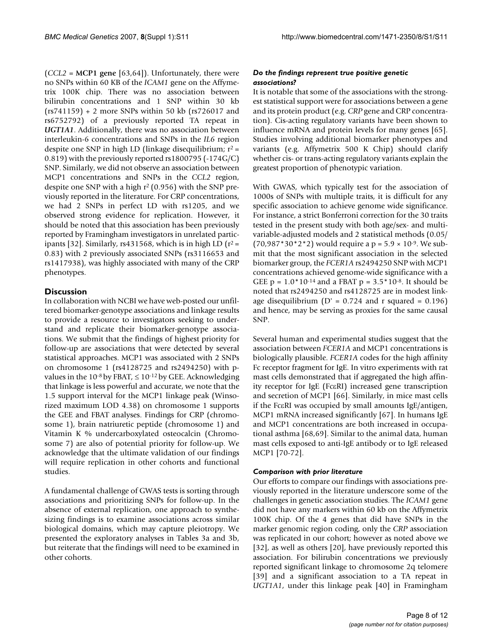(*CCL2* = **MCP1 gene** [63,64]). Unfortunately, there were no SNPs within 60 KB of the *ICAM1* gene on the Affymetrix 100K chip. There was no association between bilirubin concentrations and 1 SNP within 30 kb (rs741159) + 2 more SNPs within 50 kb (rs726017 and rs6752792) of a previously reported TA repeat in *UGT1A1*. Additionally, there was no association between interleukin-6 concentrations and SNPs in the *IL6* region despite one SNP in high LD (linkage disequilibrium;  $r^2 =$ 0.819) with the previously reported rs1800795 (-174G/C) SNP. Similarly, we did not observe an association between MCP1 concentrations and SNPs in the *CCL2* region, despite one SNP with a high r2 (0.956) with the SNP previously reported in the literature. For CRP concentrations, we had 2 SNPs in perfect LD with rs1205, and we observed strong evidence for replication. However, it should be noted that this association has been previously reported by Framingham investigators in unrelated participants [32]. Similarly, rs431568, which is in high LD ( $r^2$  = 0.83) with 2 previously associated SNPs (rs3116653 and rs1417938), was highly associated with many of the CRP phenotypes.

# **Discussion**

In collaboration with NCBI we have web-posted our unfiltered biomarker-genotype associations and linkage results to provide a resource to investigators seeking to understand and replicate their biomarker-genotype associations. We submit that the findings of highest priority for follow-up are associations that were detected by several statistical approaches. MCP1 was associated with 2 SNPs on chromosome 1 (rs4128725 and rs2494250) with pvalues in the  $10^{-8}$  by FBAT,  $\leq 10^{-12}$  by GEE. Acknowledging that linkage is less powerful and accurate, we note that the 1.5 support interval for the MCP1 linkage peak (Winsorized maximum LOD 4.38) on chromosome 1 supports the GEE and FBAT analyses. Findings for CRP (chromosome 1), brain natriuretic peptide (chromosome 1) and Vitamin K % undercarboxylated osteocalcin (Chromosome 7) are also of potential priority for follow-up. We acknowledge that the ultimate validation of our findings will require replication in other cohorts and functional studies.

A fundamental challenge of GWAS tests is sorting through associations and prioritizing SNPs for follow-up. In the absence of external replication, one approach to synthesizing findings is to examine associations across similar biological domains, which may capture pleiotropy. We presented the exploratory analyses in Tables 3a and 3b, but reiterate that the findings will need to be examined in other cohorts.

# *Do the findings represent true positive genetic associations?*

It is notable that some of the associations with the strongest statistical support were for associations between a gene and its protein product (e.g. *CRP* gene and CRP concentration). Cis-acting regulatory variants have been shown to influence mRNA and protein levels for many genes [65]. Studies involving additional biomarker phenotypes and variants (e.g. Affymetrix 500 K Chip) should clarify whether cis- or trans-acting regulatory variants explain the greatest proportion of phenotypic variation.

With GWAS, which typically test for the association of 1000s of SNPs with multiple traits, it is difficult for any specific association to achieve genome wide significance. For instance, a strict Bonferroni correction for the 30 traits tested in the present study with both age/sex- and multivariable-adjusted models and 2 statistical methods (0.05/  $(70,987*30*2*2)$  would require a p = 5.9  $\times$  10<sup>-9</sup>. We submit that the most significant association in the selected biomarker group, the *FCER1A* rs2494250 SNP with MCP1 concentrations achieved genome-wide significance with a GEE  $p = 1.0*10<sup>-14</sup>$  and a FBAT  $p = 3.5*10<sup>-8</sup>$ . It should be noted that rs2494250 and rs4128725 are in modest linkage disequilibrium ( $D' = 0.724$  and r squared = 0.196) and hence, may be serving as proxies for the same causal SNP.

Several human and experimental studies suggest that the association between *FCER1A* and MCP1 concentrations is biologically plausible. *FCER1A* codes for the high affinity Fc receptor fragment for IgE. In vitro experiments with rat mast cells demonstrated that if aggregated the high affinity receptor for IgE (FcεRI) increased gene transcription and secretion of MCP1 [66]. Similarly, in mice mast cells if the FcεRI was occupied by small amounts IgE/antigen, MCP1 mRNA increased significantly [67]. In humans IgE and MCP1 concentrations are both increased in occupational asthma [68,69]. Similar to the animal data, human mast cells exposed to anti-IgE antibody or to IgE released MCP1 [70-72].

# *Comparison with prior literature*

Our efforts to compare our findings with associations previously reported in the literature underscore some of the challenges in genetic association studies. The *ICAM1* gene did not have any markers within 60 kb on the Affymetrix 100K chip. Of the 4 genes that did have SNPs in the marker genomic region coding, only the *CRP* association was replicated in our cohort; however as noted above we [32], as well as others [20], have previously reported this association. For bilirubin concentrations we previously reported significant linkage to chromosome 2q telomere [39] and a significant association to a TA repeat in *UGT1A1*, under this linkage peak [40] in Framingham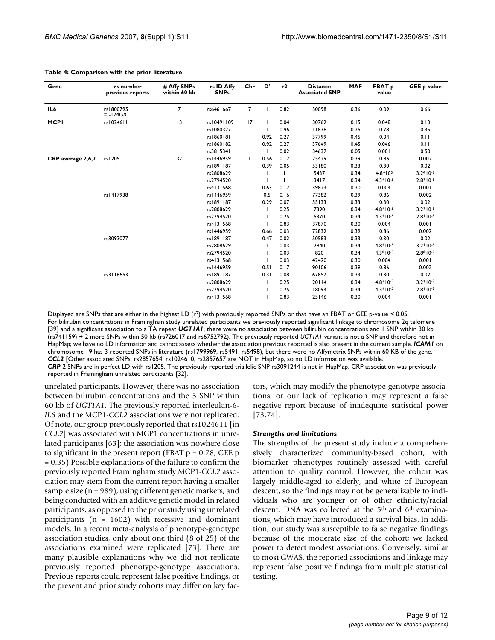| Gene              | rs number<br>previous reports | # Affy SNPs<br>within 60 kb | rs ID Affy<br><b>SNPs</b> | Chr            | D'   | r2   | <b>Distance</b><br><b>Associated SNP</b> | <b>MAF</b> | FBAT p-<br>value | <b>GEE p-value</b> |
|-------------------|-------------------------------|-----------------------------|---------------------------|----------------|------|------|------------------------------------------|------------|------------------|--------------------|
| IL6               | rs1800795<br>$= -174$ G/C     | $\overline{7}$              | rs6461667                 | $\overline{7}$ |      | 0.82 | 30098                                    | 0.36       | 0.09             | 0.66               |
| <b>MCPI</b>       | rs1024611                     | 13                          | rs10491109                | 17             |      | 0.04 | 30762                                    | 0.15       | 0.048            | 0.13               |
|                   |                               |                             | rs1080327                 |                |      | 0.96 | 1878                                     | 0.25       | 0.78             | 0.35               |
|                   |                               |                             | rs1860181                 |                | 0.92 | 0.27 | 37799                                    | 0.45       | 0.04             | 0.11               |
|                   |                               |                             | rs1860182                 |                | 0.92 | 0.27 | 37649                                    | 0.45       | 0.046            | 0.11               |
|                   |                               |                             | rs3815341                 |                |      | 0.02 | 34637                                    | 0.05       | 0.001            | 0.50               |
| CRP average 2,6,7 | rs1205                        | 37                          | rs1446959                 |                | 0.56 | 0.12 | 75429                                    | 0.39       | 0.86             | 0.002              |
|                   |                               |                             | rs1891187                 |                | 0.39 | 0.05 | 53180                                    | 0.33       | 0.30             | 0.02               |
|                   |                               |                             | rs2808629                 |                |      |      | 5437                                     | 0.34       | $4.8*105$        | $3.2*10-8$         |
|                   |                               |                             | rs2794520                 |                |      |      | 3417                                     | 0.34       | $4.3*10-5$       | $2.8*10-8$         |
|                   |                               |                             | rs4131568                 |                | 0.63 | 0.12 | 39823                                    | 0.30       | 0.004            | 0.001              |
|                   | rs1417938                     |                             | rs1446959                 |                | 0.5  | 0.16 | 77382                                    | 0.39       | 0.86             | 0.002              |
|                   |                               |                             | rs1891187                 |                | 0.29 | 0.07 | 55133                                    | 0.33       | 0.30             | 0.02               |
|                   |                               |                             | rs2808629                 |                |      | 0.25 | 7390                                     | 0.34       | $4.8*10-5$       | $3.2*10-8$         |
|                   |                               |                             | rs2794520                 |                |      | 0.25 | 5370                                     | 0.34       | $4.3*10-5$       | $2.8*10-8$         |
|                   |                               |                             | rs4131568                 |                |      | 0.83 | 37870                                    | 0.30       | 0.004            | 0.001              |
|                   |                               |                             | rs 1446959                |                | 0.66 | 0.03 | 72832                                    | 0.39       | 0.86             | 0.002              |
|                   | rs3093077                     |                             | rs1891187                 |                | 0.47 | 0.02 | 50583                                    | 0.33       | 0.30             | 0.02               |
|                   |                               |                             | rs2808629                 |                |      | 0.03 | 2840                                     | 0.34       | $4.8*10-5$       | $3.2*10-8$         |
|                   |                               |                             | rs2794520                 |                |      | 0.03 | 820                                      | 0.34       | $4.3*10-5$       | $2.8*10-8$         |
|                   |                               |                             | rs4131568                 |                |      | 0.03 | 42420                                    | 0.30       | 0.004            | 0.001              |
|                   |                               |                             | rs1446959                 |                | 0.51 | 0.17 | 90106                                    | 0.39       | 0.86             | 0.002              |
|                   | rs3116653                     |                             | rs1891187                 |                | 0.31 | 0.08 | 67857                                    | 0.33       | 0.30             | 0.02               |
|                   |                               |                             | rs2808629                 |                |      | 0.25 | 20114                                    | 0.34       | $4.8*10-5$       | $3.2*10-8$         |
|                   |                               |                             | rs2794520                 |                |      | 0.25 | 18094                                    | 0.34       | $4.3*10-5$       | $2.8*10-8$         |
|                   |                               |                             | rs4131568                 |                |      | 0.83 | 25146                                    | 0.30       | 0.004            | 0.001              |

#### **Table 4: Comparison with the prior literature**

Displayed are SNPs that are either in the highest LD  $(r^2)$  with previously reported SNPs or that have an FBAT or GEE p-value < 0.05. For bilirubin concentrations in Framingham study unrelated participants we previously reported significant linkage to chromosome 2q telomere [39] and a significant association to a TA repeat *UGT1A1*, there were no association between bilirubin concentrations and 1 SNP within 30 kb (rs741159) + 2 more SNPs within 50 kb (rs726017 and rs6752792). The previously reported *UGT1A1* variant is not a SNP and therefore not in HapMap; we have no LD information and cannot assess whether the association previous reported is also present in the current sample. *ICAM1* on chromosome 19 has 3 reported SNPs in literature (rs1799969, rs5491, rs5498), but there were no Affymetrix SNPs within 60 KB of the gene. *CCL2* [Other associated SNPs: rs2857654, rs1024610, rs2857657 are NOT in HapMap, so no LD information was available. *CRP* 2 SNPs are in perfect LD with rs1205. The previously reported triallelic SNP rs3091244 is not in HapMap. CRP association was previously reported in Framingham unrelated participants [32].

unrelated participants. However, there was no association between bilirubin concentrations and the 3 SNP within 60 kb of *UGT1A1*. The previously reported interleukin-6- *IL6* and the MCP1-*CCL2* associations were not replicated. Of note, our group previously reported that rs1024611 [in *CCL2*] was associated with MCP1 concentrations in unrelated participants [63]; the association was nowhere close to significant in the present report (FBAT  $p = 0.78$ ; GEE  $p$ ) = 0.35) Possible explanations of the failure to confirm the previously reported Framingham study MCP1-*CCL2* association may stem from the current report having a smaller sample size (n = 989), using different genetic markers, and being conducted with an additive genetic model in related participants, as opposed to the prior study using unrelated participants ( $n = 1602$ ) with recessive and dominant models. In a recent meta-analysis of phenotype-genotype association studies, only about one third (8 of 25) of the associations examined were replicated [73]. There are many plausible explanations why we did not replicate previously reported phenotype-genotype associations. Previous reports could represent false positive findings, or the present and prior study cohorts may differ on key factors, which may modify the phenotype-genotype associations, or our lack of replication may represent a false negative report because of inadequate statistical power [73,74].

#### *Strengths and limitations*

The strengths of the present study include a comprehensively characterized community-based cohort, with biomarker phenotypes routinely assessed with careful attention to quality control. However, the cohort was largely middle-aged to elderly, and white of European descent, so the findings may not be generalizable to individuals who are younger or of other ethnicity/racial descent. DNA was collected at the 5<sup>th</sup> and 6<sup>th</sup> examinations, which may have introduced a survival bias. In addition, our study was susceptible to false negative findings because of the moderate size of the cohort; we lacked power to detect modest associations. Conversely, similar to most GWAS, the reported associations and linkage may represent false positive findings from multiple statistical testing.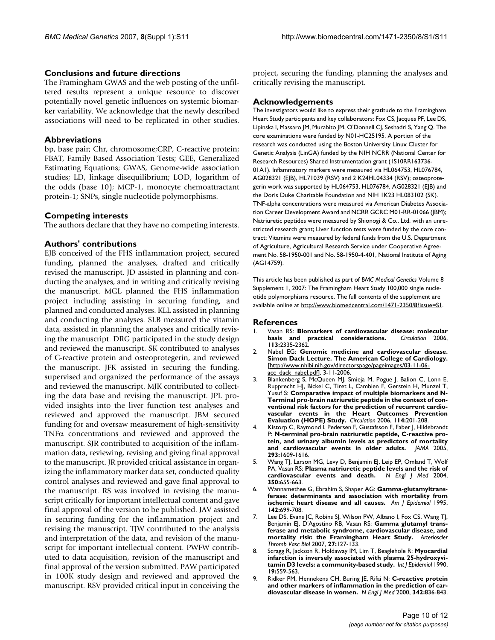# **Conclusions and future directions**

The Framingham GWAS and the web posting of the unfiltered results represent a unique resource to discover potentially novel genetic influences on systemic biomarker variability. We acknowledge that the newly described associations will need to be replicated in other studies.

# **Abbreviations**

bp, base pair; Chr, chromosome;CRP, C-reactive protein; FBAT, Family Based Association Tests; GEE, Generalized Estimating Equations; GWAS, Genome-wide association studies; LD, linkage disequilibrium; LOD, logarithm of the odds (base 10); MCP-1, monocyte chemoattractant protein-1; SNPs, single nucleotide polymorphisms.

# **Competing interests**

The authors declare that they have no competing interests.

# **Authors' contributions**

EJB conceived of the FHS inflammation project, secured funding, planned the analyses, drafted and critically revised the manuscript. JD assisted in planning and conducting the analyses, and in writing and critically revising the manuscript. MGL planned the FHS inflammation project including assisting in securing funding, and planned and conducted analyses. KLL assisted in planning and conducting the analyses. SLB measured the vitamin data, assisted in planning the analyses and critically revising the manuscript. DRG participated in the study design and reviewed the manuscript. SK contributed to analyses of C-reactive protein and osteoprotegerin, and reviewed the manuscript. JFK assisted in securing the funding, supervised and organized the performance of the assays and reviewed the manuscript. MJK contributed to collecting the data base and revising the manuscript. JPL provided insights into the liver function test analyses and reviewed and approved the manuscript. JBM secured funding for and oversaw measurement of high-sensitivity TNFα concentrations and reviewed and approved the manuscript. SJR contributed to acquisition of the inflammation data, reviewing, revising and giving final approval to the manuscript. JR provided critical assistance in organizing the inflammatory marker data set, conducted quality control analyses and reviewed and gave final approval to the manuscript. RS was involved in revising the manuscript critically for important intellectual content and gave final approval of the version to be published. JAV assisted in securing funding for the inflammation project and revising the manuscript. TJW contributed to the analysis and interpretation of the data, and revision of the manuscript for important intellectual content. PWFW contributed to data acquisition, revision of the manuscript and final approval of the version submitted. PAW participated in 100K study design and reviewed and approved the manuscript. RSV provided critical input in conceiving the project, securing the funding, planning the analyses and critically revising the manuscript.

# **Acknowledgements**

The investigators would like to express their gratitude to the Framingham Heart Study participants and key collaborators: Fox CS, Jacques PF, Lee DS, Lipinska I, Massaro JM, Murabito JM, O'Donnell CJ, Seshadri S, Yang Q. The core examinations were funded by N01-HC25195. A portion of the research was conducted using the Boston University Linux Cluster for Genetic Analysis (LinGA) funded by the NIH NCRR (National Center for Research Resources) Shared Instrumentation grant (1S10RR163736- 01A1). Inflammatory markers were measured via HL064753, HL076784, AG028321 (EJB), HL71039 (RSV) and 2 K24HL04334 (RSV); osteoprotegerin work was supported by HL064753, HL076784, AG028321 (EJB) and the Doris Duke Charitable Foundation and NIH 1K23 HL083102 (SK). TNF-alpha concentrations were measured via American Diabetes Association Career Development Award and NCRR GCRC M01-RR-01066 (JBM); Natriuretic peptides were measured by Shionogi & Co., Ltd. with an unrestricted research grant; Liver function tests were funded by the core contract; Vitamins were measured by federal funds from the U.S. Department of Agriculture, Agricultural Research Service under Cooperative Agreement No. 58-1950-001 and No. 58-1950-4-401, National Institute of Aging (AG14759).

This article has been published as part of *BMC Medical Genetics* Volume 8 Supplement 1, 2007: The Framingham Heart Study 100,000 single nucleotide polymorphisms resource. The full contents of the supplement are available online at<http://www.biomedcentral.com/1471-2350/8?issue=S1>.

### **References**

- 1. Vasan RS: **[Biomarkers of cardiovascular disease: molecular](http://www.ncbi.nlm.nih.gov/entrez/query.fcgi?cmd=Retrieve&db=PubMed&dopt=Abstract&list_uids=16702488) [basis and practical considerations.](http://www.ncbi.nlm.nih.gov/entrez/query.fcgi?cmd=Retrieve&db=PubMed&dopt=Abstract&list_uids=16702488)** *Circulation* 2006, **113:**2335-2362.
- 2. Nabel EG: **Genomic medicine and cardiovascular disease. Simon Dack Lecture. The American College of Cardiology.** [[http://www.nhlbi.nih.gov/directorspage/pageimages/03-11-06](http://www.nhlbi.nih.gov/directorspage/pageimages/03-11-06-acc_dack_nabel.pdf) [acc\\_dack\\_nabel.pdf](http://www.nhlbi.nih.gov/directorspage/pageimages/03-11-06-acc_dack_nabel.pdf)]. 3-11-2006.
- 3. Blankenberg S, McQueen MJ, Smieja M, Pogue J, Balion C, Lonn E, Rupprecht HJ, Bickel C, Tiret L, Cambien F, Gerstein H, Munzel T, Yusuf S: **[Comparative impact of multiple biomarkers and N-](http://www.ncbi.nlm.nih.gov/entrez/query.fcgi?cmd=Retrieve&db=PubMed&dopt=Abstract&list_uids=16831981)[Terminal pro-brain natriuretic peptide in the context of con](http://www.ncbi.nlm.nih.gov/entrez/query.fcgi?cmd=Retrieve&db=PubMed&dopt=Abstract&list_uids=16831981)ventional risk factors for the prediction of recurrent cardiovascular events in the Heart Outcomes Prevention [Evaluation \(HOPE\) Study.](http://www.ncbi.nlm.nih.gov/entrez/query.fcgi?cmd=Retrieve&db=PubMed&dopt=Abstract&list_uids=16831981)** *Circulation* 2006, **114:**201-208.
- 4. Kistorp C, Raymond I, Pedersen F, Gustafsson F, Faber J, Hildebrandt P: **[N-terminal pro-brain natriuretic peptide, C-reactive pro](http://www.ncbi.nlm.nih.gov/entrez/query.fcgi?cmd=Retrieve&db=PubMed&dopt=Abstract&list_uids=15811980)[tein, and urinary albumin levels as predictors of mortality](http://www.ncbi.nlm.nih.gov/entrez/query.fcgi?cmd=Retrieve&db=PubMed&dopt=Abstract&list_uids=15811980) [and cardiovascular events in older adults.](http://www.ncbi.nlm.nih.gov/entrez/query.fcgi?cmd=Retrieve&db=PubMed&dopt=Abstract&list_uids=15811980)** *JAMA* 2005, **293:**1609-1616.
- 5. Wang TJ, Larson MG, Levy D, Benjamin EJ, Leip EP, Omland T, Wolf PA, Vasan RS: **[Plasma natriuretic peptide levels and the risk of](http://www.ncbi.nlm.nih.gov/entrez/query.fcgi?cmd=Retrieve&db=PubMed&dopt=Abstract&list_uids=14960742)**  $cardiovascular$  events and death. **350:**655-663.
- 6. Wannamethee G, Ebrahim S, Shaper AG: **[Gamma-glutamyltrans](http://www.ncbi.nlm.nih.gov/entrez/query.fcgi?cmd=Retrieve&db=PubMed&dopt=Abstract&list_uids=7572939)[ferase: determinants and association with mortality from](http://www.ncbi.nlm.nih.gov/entrez/query.fcgi?cmd=Retrieve&db=PubMed&dopt=Abstract&list_uids=7572939) [ischemic heart disease and all causes.](http://www.ncbi.nlm.nih.gov/entrez/query.fcgi?cmd=Retrieve&db=PubMed&dopt=Abstract&list_uids=7572939)** *Am J Epidemiol* 1995, **142:**699-708.
- 7. Lee DS, Evans JC, Robins SJ, Wilson PW, Albano I, Fox CS, Wang TJ, Benjamin EJ, D'Agostino RB, Vasan RS: **[Gamma glutamyl trans](http://www.ncbi.nlm.nih.gov/entrez/query.fcgi?cmd=Retrieve&db=PubMed&dopt=Abstract&list_uids=17095717)[ferase and metabolic syndrome, cardiovascular disease, and](http://www.ncbi.nlm.nih.gov/entrez/query.fcgi?cmd=Retrieve&db=PubMed&dopt=Abstract&list_uids=17095717) [mortality risk: the Framingham Heart Study.](http://www.ncbi.nlm.nih.gov/entrez/query.fcgi?cmd=Retrieve&db=PubMed&dopt=Abstract&list_uids=17095717)** *Arterioscler Thromb Vasc Biol* 2007, **27:**127-133.
- 8. Scragg R, Jackson R, Holdaway IM, Lim T, Beaglehole R: **[Myocardial](http://www.ncbi.nlm.nih.gov/entrez/query.fcgi?cmd=Retrieve&db=PubMed&dopt=Abstract&list_uids=2262248) [infarction is inversely associated with plasma 25-hydroxyvi](http://www.ncbi.nlm.nih.gov/entrez/query.fcgi?cmd=Retrieve&db=PubMed&dopt=Abstract&list_uids=2262248)[tamin D3 levels: a community-based study.](http://www.ncbi.nlm.nih.gov/entrez/query.fcgi?cmd=Retrieve&db=PubMed&dopt=Abstract&list_uids=2262248)** *Int J Epidemiol* 1990, **19:**559-563.
- 9. Ridker PM, Hennekens CH, Buring JE, Rifai N: **[C-reactive protein](http://www.ncbi.nlm.nih.gov/entrez/query.fcgi?cmd=Retrieve&db=PubMed&dopt=Abstract&list_uids=10733371) [and other markers of inflammation in the prediction of car](http://www.ncbi.nlm.nih.gov/entrez/query.fcgi?cmd=Retrieve&db=PubMed&dopt=Abstract&list_uids=10733371)[diovascular disease in women.](http://www.ncbi.nlm.nih.gov/entrez/query.fcgi?cmd=Retrieve&db=PubMed&dopt=Abstract&list_uids=10733371)** *N Engl J Med* 2000, **342:**836-843.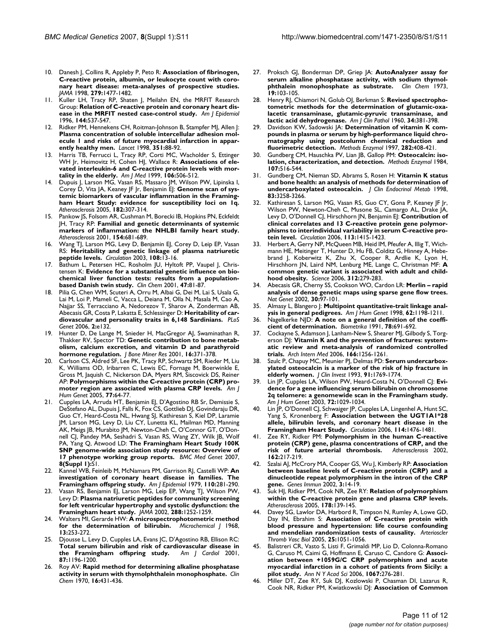- 10. Danesh J, Collins R, Appleby P, Peto R: **[Association of fibrinogen,](http://www.ncbi.nlm.nih.gov/entrez/query.fcgi?cmd=Retrieve&db=PubMed&dopt=Abstract&list_uids=9600484) [C-reactive protein, albumin, or leukocyte count with coro](http://www.ncbi.nlm.nih.gov/entrez/query.fcgi?cmd=Retrieve&db=PubMed&dopt=Abstract&list_uids=9600484)nary heart disease: meta-analyses of prospective studies.** *JAMA* 1998, **279:**1477-1482.
- 11. Kuller LH, Tracy RP, Shaten J, Meilahn EN, the MRFIT Research Group: **[Relation of C-reactive protein and coronary heart dis](http://www.ncbi.nlm.nih.gov/entrez/query.fcgi?cmd=Retrieve&db=PubMed&dopt=Abstract&list_uids=8797513)[ease in the MRFIT nested case-control study.](http://www.ncbi.nlm.nih.gov/entrez/query.fcgi?cmd=Retrieve&db=PubMed&dopt=Abstract&list_uids=8797513)** *Am J Epidemiol* 1996, **144:**537-547.
- 12. Ridker PM, Hennekens CH, Roitman-Johnson B, Stampfer MJ, Allen J: **[Plasma concentration of soluble intercellular adhesion mol](http://www.ncbi.nlm.nih.gov/entrez/query.fcgi?cmd=Retrieve&db=PubMed&dopt=Abstract&list_uids=9439492)ecule 1 and risks of future myocardial infarction in appar[ently healthy men.](http://www.ncbi.nlm.nih.gov/entrez/query.fcgi?cmd=Retrieve&db=PubMed&dopt=Abstract&list_uids=9439492)** *Lancet* 1998, **351:**88-92.
- 13. Harris TB, Ferrucci L, Tracy RP, Corti MC, Wacholder S, Ettinger WH Jr, Heimovitz H, Cohen HJ, Wallace R: **[Associations of ele](http://www.ncbi.nlm.nih.gov/entrez/query.fcgi?cmd=Retrieve&db=PubMed&dopt=Abstract&list_uids=10335721)[vated interleukin-6 and C-reactive protein levels with mor](http://www.ncbi.nlm.nih.gov/entrez/query.fcgi?cmd=Retrieve&db=PubMed&dopt=Abstract&list_uids=10335721)[tality in the elderly.](http://www.ncbi.nlm.nih.gov/entrez/query.fcgi?cmd=Retrieve&db=PubMed&dopt=Abstract&list_uids=10335721)** *Am J Med* 1999, **106:**506-512.
- 14. Dupuis J, Larson MG, Vasan RS, Massaro JM, Wilson PW, Lipinska I, Corey D, Vita JA, Keaney JF Jr, Benjamin EJ: [Genome scan of sys](http://www.ncbi.nlm.nih.gov/entrez/query.fcgi?cmd=Retrieve&db=PubMed&dopt=Abstract&list_uids=16159603)**[temic biomarkers of vascular inflammation in the Framing](http://www.ncbi.nlm.nih.gov/entrez/query.fcgi?cmd=Retrieve&db=PubMed&dopt=Abstract&list_uids=16159603)ham Heart Study: evidence for susceptibility loci on 1q.** *Atherosclerosis* 2005, **182:**307-314.
- 15. Pankow JS, Folsom AR, Cushman M, Borecki IB, Hopkins PN, Eckfeldt JH, Tracy RP: **[Familial and genetic determinants of systemic](http://www.ncbi.nlm.nih.gov/entrez/query.fcgi?cmd=Retrieve&db=PubMed&dopt=Abstract&list_uids=11257270) [markers of inflammation: the NHLBI family heart study.](http://www.ncbi.nlm.nih.gov/entrez/query.fcgi?cmd=Retrieve&db=PubMed&dopt=Abstract&list_uids=11257270)** *Atherosclerosis* 2001, **154:**681-689.
- Wang TJ, Larson MG, Levy D, Benjamin EJ, Corey D, Leip EP, Vasan RS: **[Heritability and genetic linkage of plasma natriuretic](http://www.ncbi.nlm.nih.gov/entrez/query.fcgi?cmd=Retrieve&db=PubMed&dopt=Abstract&list_uids=12821537) [peptide levels.](http://www.ncbi.nlm.nih.gov/entrez/query.fcgi?cmd=Retrieve&db=PubMed&dopt=Abstract&list_uids=12821537)** *Circulation* 2003, **108:**13-16.
- 17. Bathum L, Petersen HC, Rosholm JU, Hyltoft PP, Vaupel J, Christensen K: **[Evidence for a substantial genetic influence on bio](http://www.ncbi.nlm.nih.gov/entrez/query.fcgi?cmd=Retrieve&db=PubMed&dopt=Abstract&list_uids=11148181)[chemical liver function tests: results from a population](http://www.ncbi.nlm.nih.gov/entrez/query.fcgi?cmd=Retrieve&db=PubMed&dopt=Abstract&list_uids=11148181)[based Danish twin study.](http://www.ncbi.nlm.nih.gov/entrez/query.fcgi?cmd=Retrieve&db=PubMed&dopt=Abstract&list_uids=11148181)** *Clin Chem* 2001, **47:**81-87.
- 18. Pilia G, Chen WM, Scuteri A, Orru M, Albai G, Dei M, Lai S, Usala G, Lai M, Loi P, Mameli C, Vacca L, Deiana M, Olla N, Masala M, Cao A, Najjar SS, Terracciano A, Nedorezov T, Sharov A, Zonderman AB, Abecasis GR, Costa P, Lakatta E, Schlessinger D: **[Heritability of car](http://www.ncbi.nlm.nih.gov/entrez/query.fcgi?cmd=Retrieve&db=PubMed&dopt=Abstract&list_uids=16934002)[diovascular and personality traits in 6,148 Sardinians.](http://www.ncbi.nlm.nih.gov/entrez/query.fcgi?cmd=Retrieve&db=PubMed&dopt=Abstract&list_uids=16934002)** *PLoS Genet* 2006, **2:**e132.
- 19. Hunter D, De Lange M, Snieder H, MacGregor AJ, Swaminathan R, Thakker RV, Spector TD: **[Genetic contribution to bone metab](http://www.ncbi.nlm.nih.gov/entrez/query.fcgi?cmd=Retrieve&db=PubMed&dopt=Abstract&list_uids=11204437)[olism, calcium excretion, and vitamin D and parathyroid](http://www.ncbi.nlm.nih.gov/entrez/query.fcgi?cmd=Retrieve&db=PubMed&dopt=Abstract&list_uids=11204437) [hormone regulation.](http://www.ncbi.nlm.nih.gov/entrez/query.fcgi?cmd=Retrieve&db=PubMed&dopt=Abstract&list_uids=11204437)** *J Bone Miner Res* 2001, **16:**371-378.
- 20. Carlson CS, Aldred SF, Lee PK, Tracy RP, Schwartz SM, Rieder M, Liu K, Williams OD, Iribarren C, Lewis EC, Fornage M, Boerwinkle E, Gross M, Jaquish C, Nickerson DA, Myers RM, Siscovick DS, Reiner AP: **[Polymorphisms within the C-reactive protein \(CRP\) pro](http://www.ncbi.nlm.nih.gov/entrez/query.fcgi?cmd=Retrieve&db=PubMed&dopt=Abstract&list_uids=15897982)[moter region are associated with plasma CRP levels.](http://www.ncbi.nlm.nih.gov/entrez/query.fcgi?cmd=Retrieve&db=PubMed&dopt=Abstract&list_uids=15897982)** *Am J Hum Genet* 2005, **77:**64-77.
- 21. Cupples LA, Arruda HT, Benjamin EJ, D'Agostino RB Sr, Demissie S, DeStefano AL, Dupuis J, Falls K, Fox CS, Gottlieb DJ, Govindaraju DR, Guo CY, Heard-Costa NL, Hwang SJ, Kathiresan S, Kiel DP, Laramie JM, Larson MG, Levy D, Liu CY, Lunetta KL, Mailman MD, Manning AK, Meigs JB, Murabito JM, Newton-Cheh C, O'Connor GT, O'Donnell CJ, Pandey MA, Seshadri S, Vasan RS, Wang ZY, Wilk JB, Wolf PA, Yang Q, Atwood LD: **The Framingham Heart Study 100K SNP genome-wide association study resource: Overview of 17 phenotype working group reports.** *BMC Med Genet* 2007, **8(Suppl 1):**S1.
- 22. Kannel WB, Feinleib M, McNamara PM, Garrison RJ, Castelli WP: **[An](http://www.ncbi.nlm.nih.gov/entrez/query.fcgi?cmd=Retrieve&db=PubMed&dopt=Abstract&list_uids=474565) [investigation of coronary heart disease in families. The](http://www.ncbi.nlm.nih.gov/entrez/query.fcgi?cmd=Retrieve&db=PubMed&dopt=Abstract&list_uids=474565) [Framingham offspring study.](http://www.ncbi.nlm.nih.gov/entrez/query.fcgi?cmd=Retrieve&db=PubMed&dopt=Abstract&list_uids=474565)** *Am J Epidemiol* 1979, **110:**281-290.
- 23. Vasan RS, Benjamin EJ, Larson MG, Leip EP, Wang TJ, Wilson PW, Levy D: **[Plasma natriuretic peptides for community screening](http://www.ncbi.nlm.nih.gov/entrez/query.fcgi?cmd=Retrieve&db=PubMed&dopt=Abstract&list_uids=12215132) [for left ventricular hypertrophy and systolic dysfunction: the](http://www.ncbi.nlm.nih.gov/entrez/query.fcgi?cmd=Retrieve&db=PubMed&dopt=Abstract&list_uids=12215132) [Framingham heart study.](http://www.ncbi.nlm.nih.gov/entrez/query.fcgi?cmd=Retrieve&db=PubMed&dopt=Abstract&list_uids=12215132)** *JAMA* 2002, **288:**1252-1259.
- 24. Walters MI, Gerarde HW: **A microspectrophotometric method for the determination of bilirubin.** *Microchemical J* 1968, **13:**253-272.
- 25. Djousse L, Levy D, Cupples LA, Evans JC, D'Agostino RB, Ellison RC: **[Total serum bilirubin and risk of cardiovascular disease in](http://www.ncbi.nlm.nih.gov/entrez/query.fcgi?cmd=Retrieve&db=PubMed&dopt=Abstract&list_uids=11356398) [the Framingham offspring study.](http://www.ncbi.nlm.nih.gov/entrez/query.fcgi?cmd=Retrieve&db=PubMed&dopt=Abstract&list_uids=11356398)** *Am J Cardiol* 2001, **87:**1196-1200.
- 26. Roy AV: **[Rapid method for determining alkaline phosphatase](http://www.ncbi.nlm.nih.gov/entrez/query.fcgi?cmd=Retrieve&db=PubMed&dopt=Abstract&list_uids=5443769) [activity in serum with thymolphthalein monophosphate.](http://www.ncbi.nlm.nih.gov/entrez/query.fcgi?cmd=Retrieve&db=PubMed&dopt=Abstract&list_uids=5443769)** *Clin Chem* 1970, **16:**431-436.
- 27. Proksch GJ, Bonderman DP, Griep JA: **[AutoAnalyzer assay for](http://www.ncbi.nlm.nih.gov/entrez/query.fcgi?cmd=Retrieve&db=PubMed&dopt=Abstract&list_uids=4683352) [serum alkaline phosphatase activity, with sodium thymol](http://www.ncbi.nlm.nih.gov/entrez/query.fcgi?cmd=Retrieve&db=PubMed&dopt=Abstract&list_uids=4683352)[phthalein monophosphate as substrate.](http://www.ncbi.nlm.nih.gov/entrez/query.fcgi?cmd=Retrieve&db=PubMed&dopt=Abstract&list_uids=4683352)** *Clin Chem* 1973, **19:**103-105.
- 28. Henry RJ, Chiamori N, Golub OJ, Berkman S: **[Revised spectropho](http://www.ncbi.nlm.nih.gov/entrez/query.fcgi?cmd=Retrieve&db=PubMed&dopt=Abstract&list_uids=13713438)[tometric methods for the determination of glutamic-oxa](http://www.ncbi.nlm.nih.gov/entrez/query.fcgi?cmd=Retrieve&db=PubMed&dopt=Abstract&list_uids=13713438)lacetic transaminase, glutamic-pyruvic transaminase, and [lactic acid dehydrogenase.](http://www.ncbi.nlm.nih.gov/entrez/query.fcgi?cmd=Retrieve&db=PubMed&dopt=Abstract&list_uids=13713438)** *Am J Clin Pathol* 1960, **34:**381-398.
- 29. Davidson KW, Sadowski JA: **[Determination of vitamin K com](http://www.ncbi.nlm.nih.gov/entrez/query.fcgi?cmd=Retrieve&db=PubMed&dopt=Abstract&list_uids=9330305)[pounds in plasma or serum by high-performance liquid chro](http://www.ncbi.nlm.nih.gov/entrez/query.fcgi?cmd=Retrieve&db=PubMed&dopt=Abstract&list_uids=9330305)matography using postcolumn chemical reduction and [fluorimetric detection.](http://www.ncbi.nlm.nih.gov/entrez/query.fcgi?cmd=Retrieve&db=PubMed&dopt=Abstract&list_uids=9330305)** *Methods Enzymol* 1997, **282:**408-421.
- 30. Gundberg CM, Hauschka PV, Lian JB, Gallop PM: **[Osteocalcin: iso](http://www.ncbi.nlm.nih.gov/entrez/query.fcgi?cmd=Retrieve&db=PubMed&dopt=Abstract&list_uids=6094965)[lation, characterization, and detection.](http://www.ncbi.nlm.nih.gov/entrez/query.fcgi?cmd=Retrieve&db=PubMed&dopt=Abstract&list_uids=6094965)** *Methods Enzymol* 1984, **107:**516-544.
- 31. Gundberg CM, Nieman SD, Abrams S, Rosen H: **[Vitamin K status](http://www.ncbi.nlm.nih.gov/entrez/query.fcgi?cmd=Retrieve&db=PubMed&dopt=Abstract&list_uids=9745439) [and bone health: an analysis of methods for determination of](http://www.ncbi.nlm.nih.gov/entrez/query.fcgi?cmd=Retrieve&db=PubMed&dopt=Abstract&list_uids=9745439) [undercarboxylated osteocalcin.](http://www.ncbi.nlm.nih.gov/entrez/query.fcgi?cmd=Retrieve&db=PubMed&dopt=Abstract&list_uids=9745439)** *J Clin Endocrinol Metab* 1998, **83:**3258-3266.
- 32. Kathiresan S, Larson MG, Vasan RS, Guo CY, Gona P, Keaney JF Jr, Wilson PW, Newton-Cheh C, Musone SL, Camargo AL, Drake JA, Levy D, O'Donnell CJ, Hirschhorn JN, Benjamin EJ: **[Contribution of](http://www.ncbi.nlm.nih.gov/entrez/query.fcgi?cmd=Retrieve&db=PubMed&dopt=Abstract&list_uids=16534007) [clinical correlates and 13 C-reactive protein gene polymor](http://www.ncbi.nlm.nih.gov/entrez/query.fcgi?cmd=Retrieve&db=PubMed&dopt=Abstract&list_uids=16534007)phisms to interindividual variability in serum C-reactive pro[tein level.](http://www.ncbi.nlm.nih.gov/entrez/query.fcgi?cmd=Retrieve&db=PubMed&dopt=Abstract&list_uids=16534007)** *Circulation* 2006, **113:**1415-1423.
- Herbert A, Gerry NP, McQueen MB, Heid IM, Pfeufer A, Illig T, Wichmann HE, Meitinger T, Hunter D, Hu FB, Colditz G, Hinney A, Hebebrand J, Koberwitz K, Zhu X, Cooper R, Ardlie K, Lyon H, Hirschhorn JN, Laird NM, Lenburg ME, Lange C, Christman MF: **[A](http://www.ncbi.nlm.nih.gov/entrez/query.fcgi?cmd=Retrieve&db=PubMed&dopt=Abstract&list_uids=16614226) [common genetic variant is associated with adult and child](http://www.ncbi.nlm.nih.gov/entrez/query.fcgi?cmd=Retrieve&db=PubMed&dopt=Abstract&list_uids=16614226)[hood obesity.](http://www.ncbi.nlm.nih.gov/entrez/query.fcgi?cmd=Retrieve&db=PubMed&dopt=Abstract&list_uids=16614226)** *Science* 2006, **312:**279-283.
- 34. Abecasis GR, Cherny SS, Cookson WO, Cardon LR: **[Merlin rapid](http://www.ncbi.nlm.nih.gov/entrez/query.fcgi?cmd=Retrieve&db=PubMed&dopt=Abstract&list_uids=11731797) [analysis of dense genetic maps using sparse gene flow trees.](http://www.ncbi.nlm.nih.gov/entrez/query.fcgi?cmd=Retrieve&db=PubMed&dopt=Abstract&list_uids=11731797)** *Nat Genet* 2002, **30:**97-101.
- 35. Almasy L, Blangero J: **[Multipoint quantitative-trait linkage anal](http://www.ncbi.nlm.nih.gov/entrez/query.fcgi?cmd=Retrieve&db=PubMed&dopt=Abstract&list_uids=9545414)[ysis in general pedigrees.](http://www.ncbi.nlm.nih.gov/entrez/query.fcgi?cmd=Retrieve&db=PubMed&dopt=Abstract&list_uids=9545414)** *Am J Hum Genet* 1998, **62:**1198-1211.
- 36. Nagelkerke NJD: **A note on a general definition of the coefficient of determination.** *Biometrika* 1991, **78:**691-692.
- 37. Cockayne S, Adamson J, Lanham-New S, Shearer MJ, Gilbody S, Torgerson DJ: **[Vitamin K and the prevention of fractures: system](http://www.ncbi.nlm.nih.gov/entrez/query.fcgi?cmd=Retrieve&db=PubMed&dopt=Abstract&list_uids=16801507)[atic review and meta-analysis of randomized controlled](http://www.ncbi.nlm.nih.gov/entrez/query.fcgi?cmd=Retrieve&db=PubMed&dopt=Abstract&list_uids=16801507) [trials.](http://www.ncbi.nlm.nih.gov/entrez/query.fcgi?cmd=Retrieve&db=PubMed&dopt=Abstract&list_uids=16801507)** *Arch Intern Med* 2006, **166:**1256-1261.
- Szulc P, Chapuy MC, Meunier PJ, Delmas PD: [Serum undercarbox](http://www.ncbi.nlm.nih.gov/entrez/query.fcgi?cmd=Retrieve&db=PubMed&dopt=Abstract&list_uids=8473517)**[ylated osteocalcin is a marker of the risk of hip fracture in](http://www.ncbi.nlm.nih.gov/entrez/query.fcgi?cmd=Retrieve&db=PubMed&dopt=Abstract&list_uids=8473517) [elderly women.](http://www.ncbi.nlm.nih.gov/entrez/query.fcgi?cmd=Retrieve&db=PubMed&dopt=Abstract&list_uids=8473517)** *J Clin Invest* 1993, **91:**1769-1774.
- 39. Lin JP, Cupples LA, Wilson PW, Heard-Costa N, O'Donnell CJ: **[Evi](http://www.ncbi.nlm.nih.gov/entrez/query.fcgi?cmd=Retrieve&db=PubMed&dopt=Abstract&list_uids=12618960)[dence for a gene influencing serum bilirubin on chromosome](http://www.ncbi.nlm.nih.gov/entrez/query.fcgi?cmd=Retrieve&db=PubMed&dopt=Abstract&list_uids=12618960) 2q telomere: a genomewide scan in the Framingham study.** *Am J Hum Genet* 2003, **72:**1029-1034.
- 40. Lin JP, O'Donnell CJ, Schwaiger JP, Cupples LA, Lingenhel A, Hunt SC, Yang S, Kronenberg F: **[Association between the UGT1A1\\*28](http://www.ncbi.nlm.nih.gov/entrez/query.fcgi?cmd=Retrieve&db=PubMed&dopt=Abstract&list_uids=17000907) [allele, bilirubin levels, and coronary heart disease in the](http://www.ncbi.nlm.nih.gov/entrez/query.fcgi?cmd=Retrieve&db=PubMed&dopt=Abstract&list_uids=17000907) [Framingham Heart Study.](http://www.ncbi.nlm.nih.gov/entrez/query.fcgi?cmd=Retrieve&db=PubMed&dopt=Abstract&list_uids=17000907)** *Circulation* 2006, **114:**1476-1481.
- 41. Zee RY, Ridker PM: **[Polymorphism in the human C-reactive](http://www.ncbi.nlm.nih.gov/entrez/query.fcgi?cmd=Retrieve&db=PubMed&dopt=Abstract&list_uids=11947917) [protein \(CRP\) gene, plasma concentrations of CRP, and the](http://www.ncbi.nlm.nih.gov/entrez/query.fcgi?cmd=Retrieve&db=PubMed&dopt=Abstract&list_uids=11947917) [risk of future arterial thrombosis.](http://www.ncbi.nlm.nih.gov/entrez/query.fcgi?cmd=Retrieve&db=PubMed&dopt=Abstract&list_uids=11947917)** *Atherosclerosis* 2002, **162:**217-219.
- 42. Szalai AJ, McCrory MA, Cooper GS, Wu J, Kimberly RP: **[Association](http://www.ncbi.nlm.nih.gov/entrez/query.fcgi?cmd=Retrieve&db=PubMed&dopt=Abstract&list_uids=11857055) [between baseline levels of C-reactive protein \(CRP\) and a](http://www.ncbi.nlm.nih.gov/entrez/query.fcgi?cmd=Retrieve&db=PubMed&dopt=Abstract&list_uids=11857055) dinucleotide repeat polymorphism in the intron of the CRP [gene.](http://www.ncbi.nlm.nih.gov/entrez/query.fcgi?cmd=Retrieve&db=PubMed&dopt=Abstract&list_uids=11857055)** *Genes Immun* 2002, **3:**14-19.
- 43. Suk HJ, Ridker PM, Cook NR, Zee RY: **[Relation of polymorphism](http://www.ncbi.nlm.nih.gov/entrez/query.fcgi?cmd=Retrieve&db=PubMed&dopt=Abstract&list_uids=15585211) [within the C-reactive protein gene and plasma CRP levels.](http://www.ncbi.nlm.nih.gov/entrez/query.fcgi?cmd=Retrieve&db=PubMed&dopt=Abstract&list_uids=15585211)** *Atherosclerosis* 2005, **178:**139-145.
- 44. Davey SG, Lawlor DA, Harbord R, Timpson N, Rumley A, Lowe GD, Day IN, Ebrahim S: **[Association of C-reactive protein with](http://www.ncbi.nlm.nih.gov/entrez/query.fcgi?cmd=Retrieve&db=PubMed&dopt=Abstract&list_uids=15731495) [blood pressure and hypertension: life course confounding](http://www.ncbi.nlm.nih.gov/entrez/query.fcgi?cmd=Retrieve&db=PubMed&dopt=Abstract&list_uids=15731495) [and mendelian randomization tests of causality.](http://www.ncbi.nlm.nih.gov/entrez/query.fcgi?cmd=Retrieve&db=PubMed&dopt=Abstract&list_uids=15731495)** *Arterioscler Thromb Vasc Biol* 2005, **25:**1051-1056.
- 45. Balistreri CR, Vasto S, Listi F, Grimaldi MP, Lio D, Colonna-Romano G, Caruso M, Caimi G, Hoffmann E, Caruso C, Candore G: **[Associ](http://www.ncbi.nlm.nih.gov/entrez/query.fcgi?cmd=Retrieve&db=PubMed&dopt=Abstract&list_uids=16803998)[ation between +1059G/C CRP polymorphism and acute](http://www.ncbi.nlm.nih.gov/entrez/query.fcgi?cmd=Retrieve&db=PubMed&dopt=Abstract&list_uids=16803998) myocardial infarction in a cohort of patients from Sicily: a [pilot study.](http://www.ncbi.nlm.nih.gov/entrez/query.fcgi?cmd=Retrieve&db=PubMed&dopt=Abstract&list_uids=16803998)** *Ann N Y Acad Sci* 2006, **1067:**276-281.
- 46. Miller DT, Zee RY, Suk DJ, Kozlowski P, Chasman DI, Lazarus R, Cook NR, Ridker PM, Kwiatkowski DJ: **[Association of Common](http://www.ncbi.nlm.nih.gov/entrez/query.fcgi?cmd=Retrieve&db=PubMed&dopt=Abstract&list_uids=16266402)**